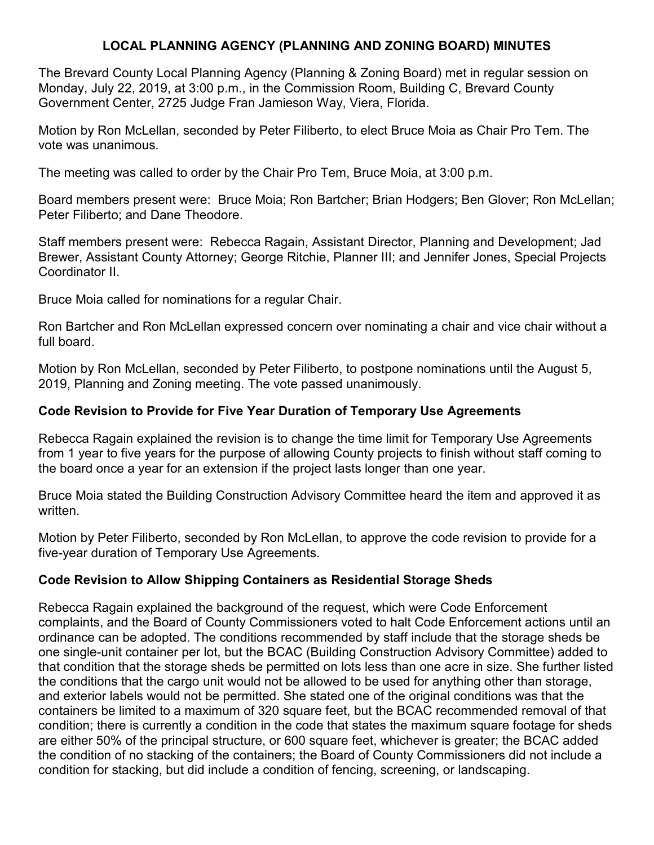## **LOCAL PLANNING AGENCY (PLANNING AND ZONING BOARD) MINUTES**

The Brevard County Local Planning Agency (Planning & Zoning Board) met in regular session on Monday, July 22, 2019, at 3:00 p.m., in the Commission Room, Building C, Brevard County Government Center, 2725 Judge Fran Jamieson Way, Viera, Florida.

Motion by Ron McLellan, seconded by Peter Filiberto, to elect Bruce Moia as Chair Pro Tem. The vote was unanimous.

The meeting was called to order by the Chair Pro Tem, Bruce Moia, at 3:00 p.m.

Board members present were: Bruce Moia; Ron Bartcher; Brian Hodgers; Ben Glover; Ron McLellan; Peter Filiberto; and Dane Theodore.

Staff members present were: Rebecca Ragain, Assistant Director, Planning and Development; Jad Brewer, Assistant County Attorney; George Ritchie, Planner III; and Jennifer Jones, Special Projects Coordinator II.

Bruce Moia called for nominations for a regular Chair.

Ron Bartcher and Ron McLellan expressed concern over nominating a chair and vice chair without a full board.

Motion by Ron McLellan, seconded by Peter Filiberto, to postpone nominations until the August 5, 2019, Planning and Zoning meeting. The vote passed unanimously.

### **Code Revision to Provide for Five Year Duration of Temporary Use Agreements**

Rebecca Ragain explained the revision is to change the time limit for Temporary Use Agreements from 1 year to five years for the purpose of allowing County projects to finish without staff coming to the board once a year for an extension if the project lasts longer than one year.

Bruce Moia stated the Building Construction Advisory Committee heard the item and approved it as written.

Motion by Peter Filiberto, seconded by Ron McLellan, to approve the code revision to provide for a five-year duration of Temporary Use Agreements.

### **Code Revision to Allow Shipping Containers as Residential Storage Sheds**

Rebecca Ragain explained the background of the request, which were Code Enforcement complaints, and the Board of County Commissioners voted to halt Code Enforcement actions until an ordinance can be adopted. The conditions recommended by staff include that the storage sheds be one single-unit container per lot, but the BCAC (Building Construction Advisory Committee) added to that condition that the storage sheds be permitted on lots less than one acre in size. She further listed the conditions that the cargo unit would not be allowed to be used for anything other than storage, and exterior labels would not be permitted. She stated one of the original conditions was that the containers be limited to a maximum of 320 square feet, but the BCAC recommended removal of that condition; there is currently a condition in the code that states the maximum square footage for sheds are either 50% of the principal structure, or 600 square feet, whichever is greater; the BCAC added the condition of no stacking of the containers; the Board of County Commissioners did not include a condition for stacking, but did include a condition of fencing, screening, or landscaping.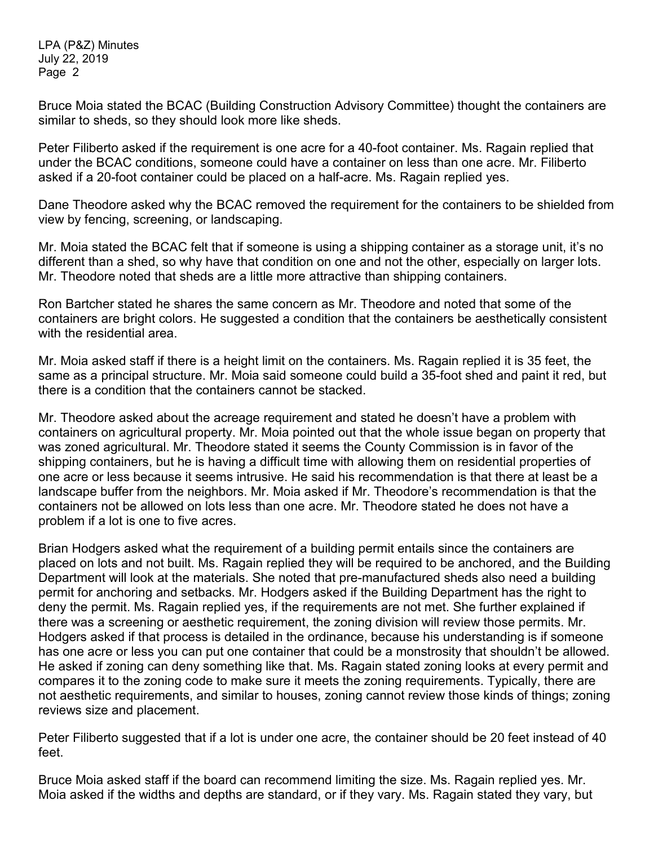LPA (P&Z) Minutes July 22, 2019 Page 2

Bruce Moia stated the BCAC (Building Construction Advisory Committee) thought the containers are similar to sheds, so they should look more like sheds.

Peter Filiberto asked if the requirement is one acre for a 40-foot container. Ms. Ragain replied that under the BCAC conditions, someone could have a container on less than one acre. Mr. Filiberto asked if a 20-foot container could be placed on a half-acre. Ms. Ragain replied yes.

Dane Theodore asked why the BCAC removed the requirement for the containers to be shielded from view by fencing, screening, or landscaping.

Mr. Moia stated the BCAC felt that if someone is using a shipping container as a storage unit, it's no different than a shed, so why have that condition on one and not the other, especially on larger lots. Mr. Theodore noted that sheds are a little more attractive than shipping containers.

Ron Bartcher stated he shares the same concern as Mr. Theodore and noted that some of the containers are bright colors. He suggested a condition that the containers be aesthetically consistent with the residential area.

Mr. Moia asked staff if there is a height limit on the containers. Ms. Ragain replied it is 35 feet, the same as a principal structure. Mr. Moia said someone could build a 35-foot shed and paint it red, but there is a condition that the containers cannot be stacked.

Mr. Theodore asked about the acreage requirement and stated he doesn't have a problem with containers on agricultural property. Mr. Moia pointed out that the whole issue began on property that was zoned agricultural. Mr. Theodore stated it seems the County Commission is in favor of the shipping containers, but he is having a difficult time with allowing them on residential properties of one acre or less because it seems intrusive. He said his recommendation is that there at least be a landscape buffer from the neighbors. Mr. Moia asked if Mr. Theodore's recommendation is that the containers not be allowed on lots less than one acre. Mr. Theodore stated he does not have a problem if a lot is one to five acres.

Brian Hodgers asked what the requirement of a building permit entails since the containers are placed on lots and not built. Ms. Ragain replied they will be required to be anchored, and the Building Department will look at the materials. She noted that pre-manufactured sheds also need a building permit for anchoring and setbacks. Mr. Hodgers asked if the Building Department has the right to deny the permit. Ms. Ragain replied yes, if the requirements are not met. She further explained if there was a screening or aesthetic requirement, the zoning division will review those permits. Mr. Hodgers asked if that process is detailed in the ordinance, because his understanding is if someone has one acre or less you can put one container that could be a monstrosity that shouldn't be allowed. He asked if zoning can deny something like that. Ms. Ragain stated zoning looks at every permit and compares it to the zoning code to make sure it meets the zoning requirements. Typically, there are not aesthetic requirements, and similar to houses, zoning cannot review those kinds of things; zoning reviews size and placement.

Peter Filiberto suggested that if a lot is under one acre, the container should be 20 feet instead of 40 feet.

Bruce Moia asked staff if the board can recommend limiting the size. Ms. Ragain replied yes. Mr. Moia asked if the widths and depths are standard, or if they vary. Ms. Ragain stated they vary, but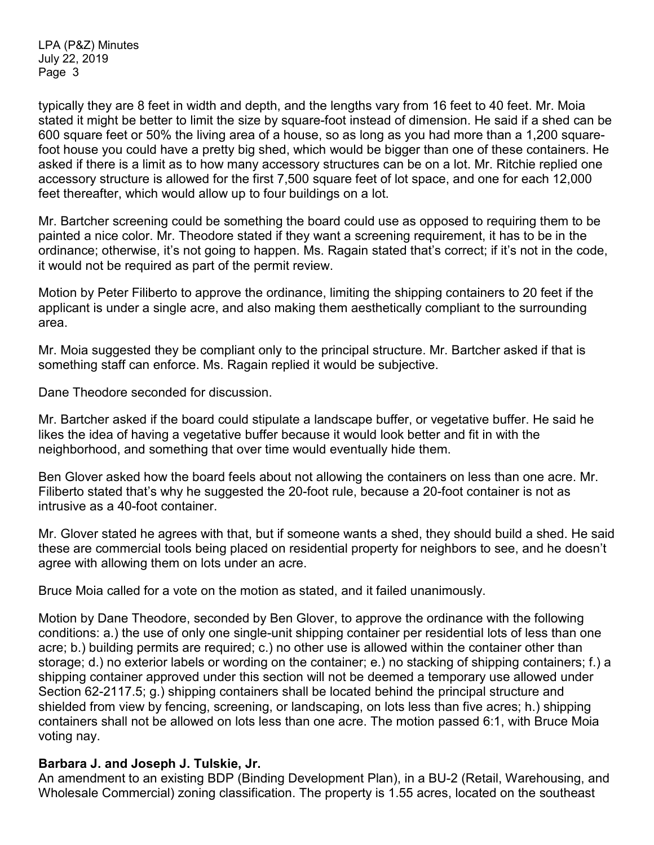LPA (P&Z) Minutes July 22, 2019 Page 3

typically they are 8 feet in width and depth, and the lengths vary from 16 feet to 40 feet. Mr. Moia stated it might be better to limit the size by square-foot instead of dimension. He said if a shed can be 600 square feet or 50% the living area of a house, so as long as you had more than a 1,200 squarefoot house you could have a pretty big shed, which would be bigger than one of these containers. He asked if there is a limit as to how many accessory structures can be on a lot. Mr. Ritchie replied one accessory structure is allowed for the first 7,500 square feet of lot space, and one for each 12,000 feet thereafter, which would allow up to four buildings on a lot.

Mr. Bartcher screening could be something the board could use as opposed to requiring them to be painted a nice color. Mr. Theodore stated if they want a screening requirement, it has to be in the ordinance; otherwise, it's not going to happen. Ms. Ragain stated that's correct; if it's not in the code, it would not be required as part of the permit review.

Motion by Peter Filiberto to approve the ordinance, limiting the shipping containers to 20 feet if the applicant is under a single acre, and also making them aesthetically compliant to the surrounding area.

Mr. Moia suggested they be compliant only to the principal structure. Mr. Bartcher asked if that is something staff can enforce. Ms. Ragain replied it would be subjective.

Dane Theodore seconded for discussion.

Mr. Bartcher asked if the board could stipulate a landscape buffer, or vegetative buffer. He said he likes the idea of having a vegetative buffer because it would look better and fit in with the neighborhood, and something that over time would eventually hide them.

Ben Glover asked how the board feels about not allowing the containers on less than one acre. Mr. Filiberto stated that's why he suggested the 20-foot rule, because a 20-foot container is not as intrusive as a 40-foot container.

Mr. Glover stated he agrees with that, but if someone wants a shed, they should build a shed. He said these are commercial tools being placed on residential property for neighbors to see, and he doesn't agree with allowing them on lots under an acre.

Bruce Moia called for a vote on the motion as stated, and it failed unanimously.

Motion by Dane Theodore, seconded by Ben Glover, to approve the ordinance with the following conditions: a.) the use of only one single-unit shipping container per residential lots of less than one acre; b.) building permits are required; c.) no other use is allowed within the container other than storage; d.) no exterior labels or wording on the container; e.) no stacking of shipping containers; f.) a shipping container approved under this section will not be deemed a temporary use allowed under Section 62-2117.5; g.) shipping containers shall be located behind the principal structure and shielded from view by fencing, screening, or landscaping, on lots less than five acres; h.) shipping containers shall not be allowed on lots less than one acre. The motion passed 6:1, with Bruce Moia voting nay.

### **Barbara J. and Joseph J. Tulskie, Jr.**

An amendment to an existing BDP (Binding Development Plan), in a BU-2 (Retail, Warehousing, and Wholesale Commercial) zoning classification. The property is 1.55 acres, located on the southeast